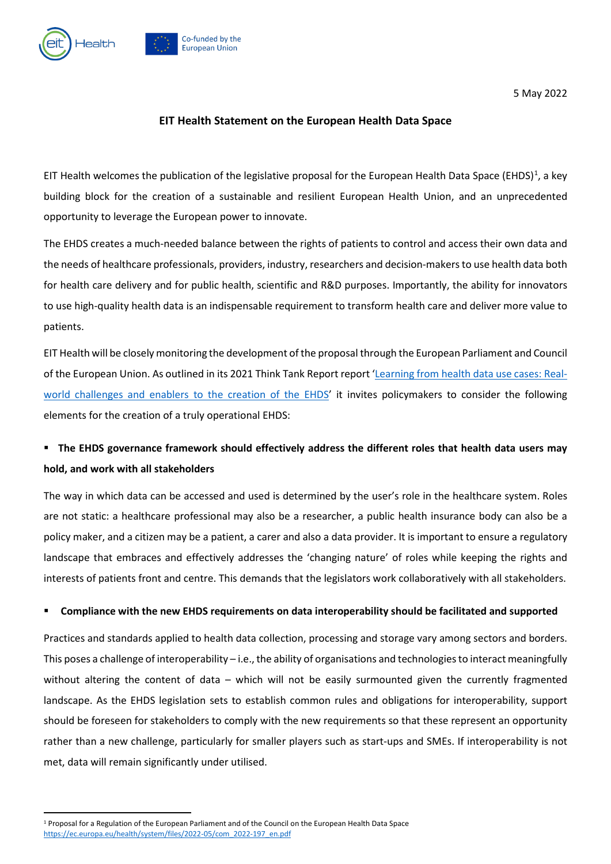

5 May 2022

### **EIT Health Statement on the European Health Data Space**

EIT Health welcomes the publication of the legislative proposal for the European Health Data Space (EHDS)<sup>[1](#page-0-0)</sup>, a key building block for the creation of a sustainable and resilient European Health Union, and an unprecedented opportunity to leverage the European power to innovate.

The EHDS creates a much-needed balance between the rights of patients to control and access their own data and the needs of healthcare professionals, providers, industry, researchers and decision-makersto use health data both for health care delivery and for public health, scientific and R&D purposes. Importantly, the ability for innovators to use high-quality health data is an indispensable requirement to transform health care and deliver more value to patients.

EIT Health will be closely monitoring the development of the proposal through the European Parliament and Council of the European Union. As outlined in its 2021 Think Tank Report report ['Learning from health data use cases: Real](https://eithealth.eu/wp-content/uploads/2021/11/EHDS_report.pdf)[world challenges and enablers to the creation of the EHDS'](https://eithealth.eu/wp-content/uploads/2021/11/EHDS_report.pdf) it invites policymakers to consider the following elements for the creation of a truly operational EHDS:

# **The EHDS governance framework should effectively address the different roles that health data users may hold, and work with all stakeholders**

The way in which data can be accessed and used is determined by the user's role in the healthcare system. Roles are not static: a healthcare professional may also be a researcher, a public health insurance body can also be a policy maker, and a citizen may be a patient, a carer and also a data provider. It is important to ensure a regulatory landscape that embraces and effectively addresses the 'changing nature' of roles while keeping the rights and interests of patients front and centre. This demands that the legislators work collaboratively with all stakeholders.

### **Compliance with the new EHDS requirements on data interoperability should be facilitated and supported**

Practices and standards applied to health data collection, processing and storage vary among sectors and borders. This poses a challenge of interoperability – i.e., the ability of organisations and technologies to interact meaningfully without altering the content of data – which will not be easily surmounted given the currently fragmented landscape. As the EHDS legislation sets to establish common rules and obligations for interoperability, support should be foreseen for stakeholders to comply with the new requirements so that these represent an opportunity rather than a new challenge, particularly for smaller players such as start-ups and SMEs. If interoperability is not met, data will remain significantly under utilised.

<span id="page-0-0"></span><sup>1</sup> Proposal for a Regulation of the European Parliament and of the Council on the European Health Data Space [https://ec.europa.eu/health/system/files/2022-05/com\\_2022-197\\_en.pdf](https://ec.europa.eu/health/system/files/2022-05/com_2022-197_en.pdf)